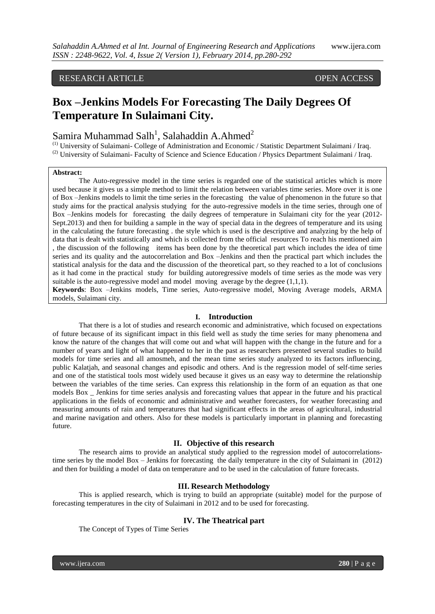# RESEARCH ARTICLE OPEN ACCESS

# **Box –Jenkins Models For Forecasting The Daily Degrees Of Temperature In Sulaimani City.**

# Samira Muhammad Salh<sup>1</sup>, Salahaddin A.Ahmed<sup>2</sup>

(1) University of Sulaimani- College of Administration and Economic / Statistic Department Sulaimani / Iraq. <sup>(2)</sup> University of Sulaimani- Faculty of Science and Science Education / Physics Department Sulaimani / Iraq.

### **Abstract:**

The Auto-regressive model in the time series is regarded one of the statistical articles which is more used because it gives us a simple method to limit the relation between variables time series. More over it is one of Box –Jenkins models to limit the time series in the forecasting the value of phenomenon in the future so that study aims for the practical analysis studying for the auto-regressive models in the time series, through one of Box –Jenkins models for forecasting the daily degrees of temperature in Sulaimani city for the year (2012- Sept.2013) and then for building a sample in the way of special data in the degrees of temperature and its using in the calculating the future forecasting . the style which is used is the descriptive and analyzing by the help of data that is dealt with statistically and which is collected from the official resources To reach his mentioned aim , the discussion of the following items has been done by the theoretical part which includes the idea of time series and its quality and the autocorrelation and Box –Jenkins and then the practical part which includes the statistical analysis for the data and the discussion of the theoretical part, so they reached to a lot of conclusions as it had come in the practical study for building autoregressive models of time series as the mode was very suitable is the auto-regressive model and model moving average by the degree  $(1,1,1)$ .

**Keywords**: Box –Jenkins models, Time series, Auto-regressive model, Moving Average models, ARMA models, Sulaimani city.

#### **I. Introduction**

That there is a lot of studies and research economic and administrative, which focused on expectations of future because of its significant impact in this field well as study the time series for many phenomena and know the nature of the changes that will come out and what will happen with the change in the future and for a number of years and light of what happened to her in the past as researchers presented several studies to build models for time series and all amosmeh, and the mean time series study analyzed to its factors influencing, public Kalatjah, and seasonal changes and episodic and others. And is the regression model of self-time series and one of the statistical tools most widely used because it gives us an easy way to determine the relationship between the variables of the time series. Can express this relationship in the form of an equation as that one models Box \_ Jenkins for time series analysis and forecasting values that appear in the future and his practical applications in the fields of economic and administrative and weather forecasters, for weather forecasting and measuring amounts of rain and temperatures that had significant effects in the areas of agricultural, industrial and marine navigation and others. Also for these models is particularly important in planning and forecasting future.

# **II. Objective of this research**

The research aims to provide an analytical study applied to the regression model of autocorrelationstime series by the model Box – Jenkins for forecasting the daily temperature in the city of Sulaimani in (2012) and then for building a model of data on temperature and to be used in the calculation of future forecasts.

#### **III. Research Methodology**

This is applied research, which is trying to build an appropriate (suitable) model for the purpose of forecasting temperatures in the city of Sulaimani in 2012 and to be used for forecasting.

#### **IV. The Theatrical part**

The Concept of Types of Time Series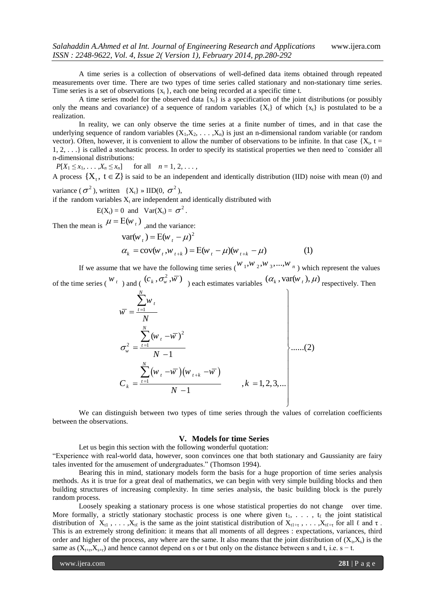A time series is a collection of observations of well-defined data items obtained through repeated measurements over time. There are two types of time series called stationary and non-stationary time series. Time series is a set of observations  $\{x_t\}$ , each one being recorded at a specific time t.

A time series model for the observed data  $\{x_t\}$  is a specification of the joint distributions (or possibly only the means and covariance) of a sequence of random variables  $\{X_t\}$  of which  $\{x_t\}$  is postulated to be a realization.

In reality, we can only observe the time series at a finite number of times, and in that case the underlying sequence of random variables  $(X_1, X_2, \ldots, X_n)$  is just an n-dimensional random variable (or random vector). Often, however, it is convenient to allow the number of observations to be infinite. In that case  $\{X_t, t =$ 1, 2, . . .} is called a stochastic process. In order to specify its statistical properties we then need to `consider all n-dimensional distributions:

 $P[X_1 \le x_1, \ldots, X_n \le x_n]$  for all  $n = 1, 2, \ldots$ ,

A process  $\{X_t, t \in Z\}$  is said to be an independent and identically distribution (IID) noise with mean (0) and variance ( $\sigma^2$ ), written {X<sub>t</sub>} » IID(0,  $\sigma^2$ ),

if the random variables  $X_t$  are independent and identically distributed with

$$
E(X_t) = 0
$$
 and  $Var(X_t) = \sigma^2$ .

Then the mean is  $\mu = E(w_t)$ , and the variance:

$$
E(wt)1
$$
 and the variance:  
\n
$$
var(wt) = E(wt - \mu)2
$$
  
\n
$$
\alphak = cov(wt, wt+k) = E(wt - \mu)(wt+k - \mu)
$$
 (1)

If we assume that we have the following time series  $\binom{W_1, W_2, W_3, ..., W_n}{\cdots}$  which represent the values of the time series ( $\binom{W_t}{t}$ ) and (  $(c_k, \sigma_w^2, \overline{w})$  each estimates variables  $(\alpha_k, \text{var}(w_t), \mu)$  respectively. Then

$$
\overline{w} = \frac{\sum_{t=1}^{N} w_t}{N}
$$
\n
$$
\sigma_w^2 = \frac{\sum_{t=1}^{N} (w_t - \overline{w})^2}{N - 1}
$$
\n
$$
C_k = \frac{\sum_{t=1}^{N} (w_t - \overline{w})(w_{t+k} - \overline{w})}{N - 1}, k = 1, 2, 3, ...
$$
\n(2)

We can distinguish between two types of time series through the values of correlation coefficients between the observations.

## **V. Models for time Series**

Let us begin this section with the following wonderful quotation: ―Experience with real-world data, however, soon convinces one that both stationary and Gaussianity are fairy tales invented for the amusement of undergraduates." (Thomson 1994).

Bearing this in mind, stationary models form the basis for a huge proportion of time series analysis methods. As it is true for a great deal of mathematics, we can begin with very simple building blocks and then building structures of increasing complexity. In time series analysis, the basic building block is the purely random process.

Loosely speaking a stationary process is one whose statistical properties do not change over time. More formally, a strictly stationary stochastic process is one where given  $t_1, \ldots, t_\ell$  the joint statistical distribution of  $X_{t1}$ , ...,  $X_{t\ell}$  is the same as the joint statistical distribution of  $X_{t1+\tau}$ , ...,  $X_{t\ell+\tau}$  for all  $\ell$  and  $\tau$ . This is an extremely strong definition: it means that all moments of all degrees : expectations, variances, third order and higher of the process, any where are the same. It also means that the joint distribution of  $(X_t, X_s)$  is the same as  $(X_{t+r}, X_{s+r})$  and hence cannot depend on s or t but only on the distance between s and t, i.e. s – t.

www.ijera.com **281** | P a g e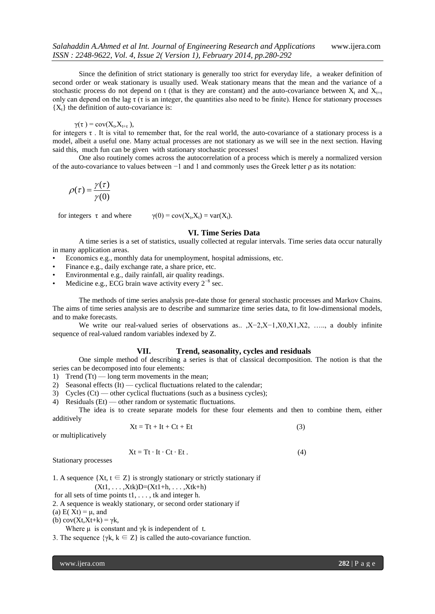Since the definition of strict stationary is generally too strict for everyday life, a weaker definition of second order or weak stationary is usually used. Weak stationary means that the mean and the variance of a stochastic process do not depend on t (that is they are constant) and the auto-covariance between  $X_t$  and  $X_{t+\tau}$ only can depend on the lag  $\tau$  ( $\tau$  is an integer, the quantities also need to be finite). Hence for stationary processes  ${X_t}$  the definition of auto-covariance is:

$$
\gamma(\tau) = \text{cov}(X_t, X_{t+\tau}),
$$

for integers τ . It is vital to remember that, for the real world, the auto-covariance of a stationary process is a model, albeit a useful one. Many actual processes are not stationary as we will see in the next section. Having said this, much fun can be given with stationary stochastic processes!

One also routinely comes across the autocorrelation of a process which is merely a normalized version of the auto-covariance to values between −1 and 1 and commonly uses the Greek letter ρ as its notation:

$$
\rho(\tau) = \frac{\gamma(\tau)}{\gamma(0)}
$$

for integers  $\tau$  and where  $\gamma(0) = \text{cov}(X_t, X_t) = \text{var}(X_t).$ 

#### **VI. Time Series Data**

A time series is a set of statistics, usually collected at regular intervals. Time series data occur naturally in many application areas.

- Economics e.g., monthly data for unemployment, hospital admissions, etc.
- Finance e.g., daily exchange rate, a share price, etc.
- Environmental e.g., daily rainfall, air quality readings.
- Medicine e.g., ECG brain wave activity every  $2^{-8}$  sec.

The methods of time series analysis pre-date those for general stochastic processes and Markov Chains. The aims of time series analysis are to describe and summarize time series data, to fit low-dimensional models, and to make forecasts.

We write our real-valued series of observations as.. ,X−2,X−1,X0,X1,X2, …., a doubly infinite sequence of real-valued random variables indexed by Z.

### **VII. Trend, seasonality, cycles and residuals**

One simple method of describing a series is that of classical decomposition. The notion is that the series can be decomposed into four elements:

1) Trend  $(Tt)$  — long term movements in the mean;

2) Seasonal effects (It) — cyclical fluctuations related to the calendar;

3) Cycles (Ct) — other cyclical fluctuations (such as a business cycles);

4) Residuals (Et) — other random or systematic fluctuations.

The idea is to create separate models for these four elements and then to combine them, either additively

$$
Xt = Tt + It + Ct + Et
$$
 (3)

or multiplicatively

$$
Xt = Tt \cdot It \cdot Ct \cdot Et. \tag{4}
$$

Stationary processes

1. A sequence  $\{Xt, t \in Z\}$  is strongly stationary or strictly stationary if  $(Xt1, \ldots, Xtk)D=(Xt1+h, \ldots, Xtk+h)$ 

for all sets of time points t1, . . . , tk and integer h.

2. A sequence is weakly stationary, or second order stationary if

(a)  $E(Xt) = \mu$ , and

(b)  $cov(Xt, Xt+k) = \gamma k$ ,

Where  $\mu$  is constant and γk is independent of t.

3. The sequence  $\{\gamma k, k \in \mathbb{Z}\}\$  is called the auto-covariance function.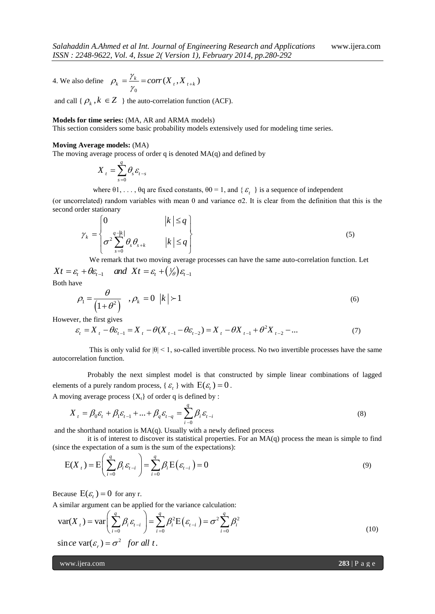4. We also define 0  $\rho_k = \frac{\gamma_k}{\gamma_k} = corr(X_t, X_{t+k})$  $=\frac{\gamma_k}{\gamma_0}=corr(X_t,X_{t+1})$ 

and call {  $\rho_k$ ,  $k \in \mathbb{Z}$  } the auto-correlation function (ACF).

#### **Models for time series:** (MA, AR and ARMA models)

This section considers some basic probability models extensively used for modeling time series.

#### **Moving Average models:** (MA)

The moving average process of order q is denoted  $MA(q)$  and defined by

$$
X_t = \sum_{s=0}^q \theta_s \varepsilon_{t-s}
$$

where  $\theta$ 1, ...,  $\theta$ q are fixed constants,  $\theta$ 0 = 1, and { $\epsilon$ <sub>t</sub>} is a sequence of independent

(or uncorrelated) random variables with mean 0 and variance σ2. It is clear from the definition that this is the second order stationary *k q*

der stationary  
\n
$$
\gamma_{k} = \begin{cases}\n0 & |k| \leq q \\
\sigma^{2} \sum_{s=0}^{q-|k|} \theta_{s} \theta_{s+k} & |k| \leq q\n\end{cases}
$$
\n(5)

 We remark that two moving average processes can have the same auto-correlation function. Let We remark that two moving average pro<br>  $Xt = \varepsilon_t + \theta \varepsilon_{t-1}$  and  $Xt = \varepsilon_t + (\frac{1}{\theta}) \varepsilon_{t-1}$ 

Both have

$$
\rho_1 = \frac{\theta}{\left(1 + \theta^2\right)} \quad , \rho_k = 0 \ \left|k\right| > 1 \tag{6}
$$

However, the first gives

$$
(1+\theta^2)^{1/2}
$$
  
er, the first gives  

$$
\varepsilon_t = X_t - \theta \varepsilon_{t-1} = X_t - \theta (X_{t-1} - \theta \varepsilon_{t-2}) = X_t - \theta X_{t-1} + \theta^2 X_{t-2} - ...
$$
 (7)

This is only valid for  $|\theta| < 1$ , so-called invertible process. No two invertible processes have the same autocorrelation function.

 Probably the next simplest model is that constructed by simple linear combinations of lagged elements of a purely random process, { $\varepsilon_t$ } with  $E(\varepsilon_t) = 0$ .

A moving average process {
$$
X_t
$$
} of order q is defined by :  
\n
$$
X_t = \beta_0 \varepsilon_t + \beta_1 \varepsilon_{t-1} + ... + \beta_q \varepsilon_{t-q} = \sum_{i=0}^q \beta_i \varepsilon_{t-i}
$$
\n(8)

and the shorthand notation is  $MA(q)$ . Usually with a newly defined process

it is of interest to discover its statistical properties. For an  $MA(q)$  process the mean is simple to find

(since the expectation of a sum is the sum of the expectations):  
\n
$$
E(X_t) = E\left(\sum_{i=0}^{q} \beta_i \varepsilon_{t-i}\right) = \sum_{i=0}^{q} \beta_i E\left(\varepsilon_{t-i}\right) = 0
$$
\n(9)

Because  $E(\varepsilon_t) = 0$  for any r.

Because 
$$
E(\varepsilon_t) = 0
$$
 for any r.  
\nA similar argument can be applied for the variance calculation:  
\n
$$
var(X_t) = var\left(\sum_{i=0}^{q} \beta_i \varepsilon_{t-i}\right) = \sum_{i=0}^{q} \beta_i^2 E(\varepsilon_{t-i}) = \sigma^2 \sum_{i=0}^{q} \beta_i^2
$$
\n
$$
since var(\varepsilon_t) = \sigma^2 \text{ for all } t.
$$
\n(10)

2

www.ijera.com **283** | P a g e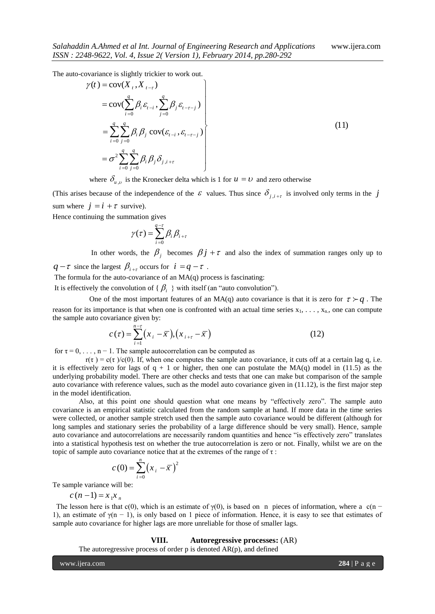The auto-covariance is slightly trickier to work out.

2248-9622, Vol. 4, Issue 2(Version 1), February 2014, pp.280-292  
\no-covariance is slightly trickier to work out.  
\n
$$
\gamma(t) = \text{cov}(X_t, X_{t-\tau})
$$
\n
$$
= \text{cov}(\sum_{i=0}^{q} \beta_i \varepsilon_{t-i}, \sum_{j=0}^{q} \beta_j \varepsilon_{t-\tau-j})
$$
\n
$$
= \sum_{i=0}^{q} \sum_{j=0}^{q} \beta_i \beta_j \text{ cov}(\varepsilon_{t-i}, \varepsilon_{t-\tau-j})
$$
\n
$$
= \sigma^2 \sum_{i=0}^{q} \sum_{j=0}^{q} \beta_i \beta_j \delta_{j,i+\tau}
$$
\n(11)

where  $\delta_{u,v}$  is the Kronecker delta which is 1 for  $u = v$  and zero otherwise

(This arises because of the independence of the  $\varepsilon$  values. Thus since  $\delta_{j,i+\tau}$  is involved only terms in the j sum where  $j = i + \tau$  survive).

Hence continuing the summation gives

$$
\gamma(\tau) = \sum_{i=0}^{q-\tau} \beta_i \beta_{i+\tau}
$$

In other words, the  $\beta_j$  becomes  $\beta_j + \tau$  and also the index of summation ranges only up to

 $q-\tau$  since the largest  $\beta_{i+\tau}$  occurs for  $i = q-\tau$ .

The formula for the auto-covariance of an  $MA(q)$  process is fascinating:

It is effectively the convolution of  $\{\beta_i\}$  with itself (an "auto convolution").

One of the most important features of an MA(q) auto covariance is that it is zero for  $\tau \succ q$ . The reason for its importance is that when one is confronted with an actual time series  $x_1, \ldots, x_n$ , one can compute the sample auto covariance given by:<br>  $c(\tau) = \sum_{i=1}^{n-r} (x_i - \overline{x}), (x_{i+r} - \overline{x})$  (12) the sample auto covariance given by:

$$
c(\tau) = \sum_{i=1}^{n-\tau} (x_i - \overline{x}), (x_{i+\tau} - \overline{x})
$$
 (12)

for  $\tau = 0, \ldots, n - 1$ . The sample autocorrelation can be computed as

 $r(\tau) = c(\tau)/c(0)$ . If, when one computes the sample auto covariance, it cuts off at a certain lag q, i.e. it is effectively zero for lags of  $q + 1$  or higher, then one can postulate the MA(q) model in (11.5) as the underlying probability model. There are other checks and tests that one can make but comparison of the sample auto covariance with reference values, such as the model auto covariance given in (11.12), is the first major step in the model identification.

Also, at this point one should question what one means by "effectively zero". The sample auto covariance is an empirical statistic calculated from the random sample at hand. If more data in the time series were collected, or another sample stretch used then the sample auto covariance would be different (although for long samples and stationary series the probability of a large difference should be very small). Hence, sample auto covariance and autocorrelations are necessarily random quantities and hence "is effectively zero" translates into a statistical hypothesis test on whether the true autocorrelation is zero or not. Finally, whilst we are on the topic of sample auto covariance notice that at the extremes of the range of  $\tau$ :

$$
c(0) = \sum_{i=0}^{n} (x_i - \bar{x})^2
$$

Te sample variance will be:

 $c(n-1) = x_1 x_n$ 

The lesson here is that c(0), which is an estimate of  $\gamma$ (0), is based on n pieces of information, where a c(n − 1), an estimate of  $\gamma(n - 1)$ , is only based on 1 piece of information. Hence, it is easy to see that estimates of sample auto covariance for higher lags are more unreliable for those of smaller lags.

#### **VIII. Autoregressive processes:** (AR)

The autoregressive process of order  $p$  is denoted  $AR(p)$ , and defined

www.ijera.com **284** | P a g e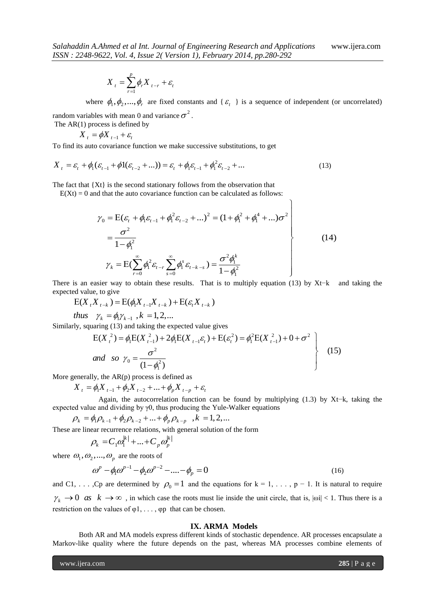$$
X_t = \sum_{r=1}^p \phi_r X_{t-r} + \varepsilon_t
$$

where  $\phi_1, \phi_2, ..., \phi_r$  are fixed constants and { $\varepsilon_t$ } is a sequence of independent (or uncorrelated) random variables with mean 0 and variance  $\sigma^2$ .

ך

The AR(1) process is defined by

$$
X_t = \phi X_{t-1} + \varepsilon_t
$$

To find its auto covariance function we make successive substitutions, to get  
\n
$$
X_{t} = \varepsilon_{t} + \phi_{1}(\varepsilon_{t-1} + \phi_{1}(\varepsilon_{t-2} + ...)) = \varepsilon_{t} + \phi_{1}\varepsilon_{t-1} + \phi_{1}^{2}\varepsilon_{t-2} + ... \qquad (13)
$$

The fact that  ${Xt}$  is the second stationary follows from the observation that

$$
E(Xt) = 0 \text{ and that the auto covariance function can be calculated as follows:}
$$
\n
$$
\gamma_0 = E(\varepsilon_t + \phi_1 \varepsilon_{t-1} + \phi_1^2 \varepsilon_{t-2} + \dots)^2 = (1 + \phi_1^2 + \phi_1^4 + \dots)\sigma^2
$$
\n
$$
= \frac{\sigma^2}{1 - \phi_1^2}
$$
\n
$$
\gamma_k = E(\sum_{r=0}^{\infty} \phi_1^2 \varepsilon_{t-r} \sum_{s=0}^{\infty} \phi_1^s \varepsilon_{t-k-s}) = \frac{\sigma^2 \phi_1^k}{1 - \phi_1^2}
$$
\n(14)

There is an easier way to obtain these results. That is to multiply equation (13) by Xt–k and taking the expected value, to give  $E(X_t X_{t-k}) = E(\phi_t X_{t-1} X_{t-k}) + E(\varepsilon_t X_{t-k})$ expected value, to give

and value, to give  
\n
$$
E(X_t X_{t-k}) = E(\phi_t X_{t-1} X_{t-k}) + E(\varepsilon_t X_{t-k})
$$
\nthus  $\gamma_k = \phi_t \gamma_{k-1}$ ,  $k = 1, 2, ...$ 

*thus* 
$$
\gamma_k = \phi_1 \gamma_{k-1}, k = 1, 2, ...
$$

thus 
$$
\gamma_k = \phi_i \gamma_{k-1}
$$
,  $k = 1, 2,...$   
\nSimilarly, squaring (13) and taking the expected value gives  
\n
$$
E(X_i^2) = \phi_i E(X_{i-1}^2) + 2\phi_i E(X_{i-1}\varepsilon_i) + E(\varepsilon_i^2) = \phi_i^2 E(X_{i-1}^2) + 0 + \sigma^2
$$
\nand so  $\gamma_0 = \frac{\sigma^2}{(1 - \phi_i^2)}$  (15)

More generally, the AR(p) process is defined as  
\n
$$
X_{t} = \phi_{1} X_{t-1} + \phi_{2} X_{t-2} + ... + \phi_{p} X_{t-p} + \varepsilon_{t}
$$

 Again, the autocorrelation function can be found by multiplying (1.3) by Xt−k, taking the expected value and dividing by γ0, thus producing the Yule-Walker equations<br>  $\rho_k = \phi_1 \rho_{k-1} + \phi_2 \rho_{k-2} + ... + \phi_p \rho_{k-p}$ ,  $k = 1, 2, ...$ 

$$
D_k = \phi_1 D_{k-1} + \phi_2 D_{k-2} + \ldots + \phi_p D_{k-p} , k = 1, 2, ...
$$

These are linear recurrence relations, with general solution of the form

$$
\rho_k = C_1 \omega_1^{|k|} + ... + C_p \omega_p^{|k|}
$$

where  $\omega_1, \omega_2, ..., \omega_p$  are the roots of

$$
\omega^p - \phi_1 \omega^{p-1} - \phi_2 \omega^{p-2} - \dots - \phi_p = 0
$$
 (16)

and C1, ..., Cp are determined by  $\rho_0 = 1$  and the equations for  $k = 1, \ldots, p - 1$ . It is natural to require  $\gamma_k \to 0$  *as*  $k \to \infty$ , in which case the roots must lie inside the unit circle, that is,  $|\omega| < 1$ . Thus there is a restriction on the values of  $\varphi$ 1, ...,  $\varphi$ p that can be chosen.

#### **IX. ARMA Models**

Both AR and MA models express different kinds of stochastic dependence. AR processes encapsulate a Markov-like quality where the future depends on the past, whereas MA processes combine elements of

www.ijera.com **285** | P a g e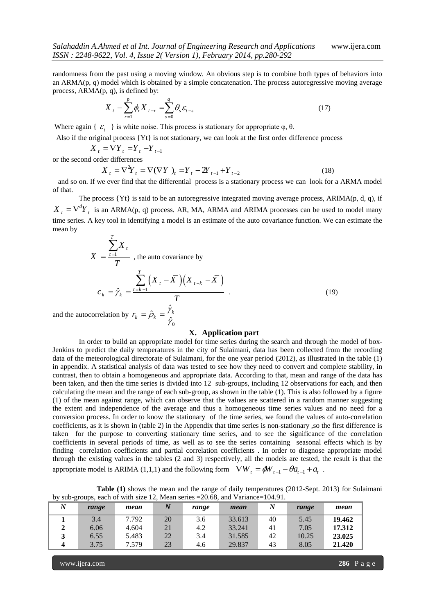randomness from the past using a moving window. An obvious step is to combine both types of behaviors into an  $ARMA(p, q)$  model which is obtained by a simple concatenation. The process autoregressive moving average process, ARMA(p, q), is defined by:

$$
X_{t} - \sum_{r=1}^{p} \phi_{r} X_{t-r} = \sum_{s=0}^{q} \theta_{s} \varepsilon_{t-s}
$$
 (17)

Where again {  $\varepsilon$ <sub>t</sub> } is white noise. This process is stationary for appropriate  $\varphi$ ,  $\theta$ .

Also if the original process {Yt} is not stationary, we can look at the first order difference process

$$
X_t = \nabla Y_t = Y_t - Y_{t-1}
$$

or the second order differences

der differences  
\n
$$
X_{t} = \nabla^{2} Y_{t} = \nabla(\nabla Y)_{t} = Y_{t} - 2Y_{t-1} + Y_{t-2}
$$
\n(18)

 and so on. If we ever find that the differential process is a stationary process we can look for a ARMA model of that.

The process  $\{Yt\}$  is said to be an autoregressive integrated moving average process, ARIMA(p, d, q), if  $X_t = \nabla^d Y_t$  is an ARMA(p, q) process. AR, MA, ARMA and ARIMA processes can be used to model many time series. A key tool in identifying a model is an estimate of the auto covariance function. We can estimate the mean by

$$
\overline{X} = \frac{\sum_{t=1}^{T} X_t}{T}
$$
, the auto covariance by  

$$
c_k = \hat{\gamma}_k = \frac{\sum_{t=k+1}^{T} (X_t - \overline{X})(X_{t-k} - \overline{X})}{T}
$$
  
ocorrelation by  $r = \hat{\rho}_k = \frac{\hat{\gamma}_k}{T}$  (19)

and the autocorrelation by  $r_k = \hat{\rho}_k = \frac{2}{3}$  $\hat{\gamma}_0$ 

### **X. Application part**

In order to build an appropriate model for time series during the search and through the model of box-Jenkins to predict the daily temperatures in the city of Sulaimani, data has been collected from the recording data of the meteorological directorate of Sulaimani, for the one year period (2012), as illustrated in the table (1) in appendix. A statistical analysis of data was tested to see how they need to convert and complete stability, in contrast, then to obtain a homogeneous and appropriate data. According to that, mean and range of the data has been taken, and then the time series is divided into 12 sub-groups, including 12 observations for each, and then calculating the mean and the range of each sub-group, as shown in the table (1). This is also followed by a figure (1) of the mean against range, which can observe that the values are scattered in a random manner suggesting the extent and independence of the average and thus a homogeneous time series values and no need for a conversion process. In order to know the stationary of the time series, we found the values of auto-correlation coefficients, as it is shown in (table 2) in the Appendix that time series is non-stationary ,so the first difference is taken for the purpose to converting stationary time series, and to see the significance of the correlation coefficients in several periods of time, as well as to see the series containing seasonal effects which is by finding correlation coefficients and partial correlation coefficients . In order to diagnose appropriate model through the existing values in the tables (2 and 3) respectively, all the models are tested, the result is that the appropriate model is ARIMA (1,1,1) and the following form  $\nabla W_t = \phi W_{t-1} - \theta a_{t-1} + a_t$ .

|  | the contract of the contract of the contract of the contract of the contract of the contract of the contract of | the contract of the contract of the contract of the contract of the contract of | the property of the control of the con-                                                             | the company's company's company's |  |
|--|-----------------------------------------------------------------------------------------------------------------|---------------------------------------------------------------------------------|-----------------------------------------------------------------------------------------------------|-----------------------------------|--|
|  |                                                                                                                 |                                                                                 | by sub-groups, each of with size 12, Mean series $=20.68$ , and Variance=104.91.                    |                                   |  |
|  |                                                                                                                 |                                                                                 | <b>Table (1)</b> shows the mean and the range of daily temperatures (2012-Sept. 2013) for Sulaimani |                                   |  |
|  |                                                                                                                 |                                                                                 |                                                                                                     |                                   |  |

| $\boldsymbol{N}$ | range | mean  | $\boldsymbol{N}$ | range | mean   | N  | range | mean   |
|------------------|-------|-------|------------------|-------|--------|----|-------|--------|
|                  | 3.4   | 7.792 | 20               | 3.6   | 33.613 | 40 | 5.45  | 19.462 |
|                  | 6.06  | 4.604 | 21               | 4.2   | 33.241 | 41 | 7.05  | 17.312 |
|                  | 6.55  | 5.483 | 22               | 3.4   | 31.585 | 42 | 10.25 | 23.025 |
|                  | 3.75  | 7.579 | 23               | 4.6   | 29.837 | 43 | 8.05  | 21.420 |

www.ijera.com **286** | P a g e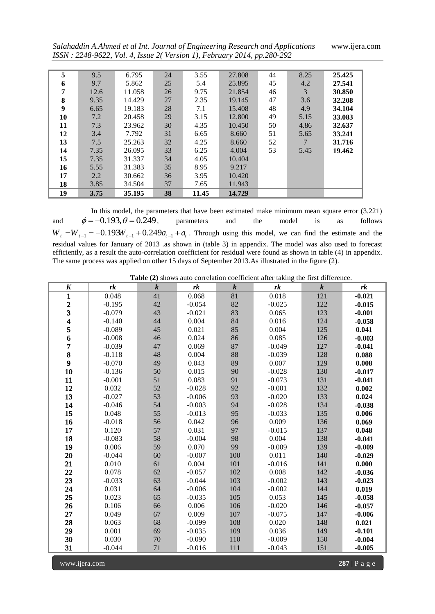*Salahaddin A.Ahmed et al Int. Journal of Engineering Research and Applications* www.ijera.com *ISSN : 2248-9622, Vol. 4, Issue 2( Version 1), February 2014, pp.280-292*

| 5  | 9.5  | 6.795  | 24 | 3.55  | 27.808 | 44 | 8.25 | 25.425 |
|----|------|--------|----|-------|--------|----|------|--------|
| 6  | 9.7  | 5.862  | 25 | 5.4   | 25.895 | 45 | 4.2  | 27.541 |
| 7  | 12.6 | 11.058 | 26 | 9.75  | 21.854 | 46 | 3    | 30.850 |
| 8  | 9.35 | 14.429 | 27 | 2.35  | 19.145 | 47 | 3.6  | 32.208 |
| 9  | 6.65 | 19.183 | 28 | 7.1   | 15.408 | 48 | 4.9  | 34.104 |
| 10 | 7.2  | 20.458 | 29 | 3.15  | 12.800 | 49 | 5.15 | 33.083 |
| 11 | 7.3  | 23.962 | 30 | 4.35  | 10.450 | 50 | 4.86 | 32.637 |
| 12 | 3.4  | 7.792  | 31 | 6.65  | 8.660  | 51 | 5.65 | 33.241 |
| 13 | 7.5  | 25.263 | 32 | 4.25  | 8.660  | 52 |      | 31.716 |
| 14 | 7.35 | 26.095 | 33 | 6.25  | 4.004  | 53 | 5.45 | 19.462 |
| 15 | 7.35 | 31.337 | 34 | 4.05  | 10.404 |    |      |        |
| 16 | 5.55 | 31.383 | 35 | 8.95  | 9.217  |    |      |        |
| 17 | 2.2  | 30.662 | 36 | 3.95  | 10.420 |    |      |        |
| 18 | 3.85 | 34.504 | 37 | 7.65  | 11.943 |    |      |        |
| 19 | 3.75 | 35.195 | 38 | 11.45 | 14.729 |    |      |        |

In this model, the parameters that have been estimated make minimum mean square error (3.221) and  $\phi = -0.193, \theta = 0.249$ , parameters and the model is as follows and and  $\phi = -0.193$ ,  $\theta = 0.249$ , parameters and the model is as follows  $W_t = W_{t-1} = -0.193W_{t-1} + 0.249a_{t-1} + a_t$ . Through using this model, we can find the estimate and the residual values for January of 2013 .as shown in (table 3) in appendix. The model was also used to forecast efficiently, as a result the auto-correlation coefficient for residual were found as shown in table (4) in appendix. The same process was applied on other 15 days of September 2013.As illustrated in the figure (2).

 **Table (2)** shows auto correlation coefficient after taking the first difference.

| $\boldsymbol{K}$                           | rk       | $\boldsymbol{k}$ | rk       | $\boldsymbol{k}$ | rk       | $\boldsymbol{k}$ | rk       |
|--------------------------------------------|----------|------------------|----------|------------------|----------|------------------|----------|
| $\mathbf{1}$                               | 0.048    | 41               | 0.068    | 81               | 0.018    | 121              | $-0.021$ |
|                                            | $-0.195$ | 42               | $-0.054$ | 82               | $-0.025$ | 122              | $-0.015$ |
| $\begin{array}{c} 2 \\ 3 \\ 4 \end{array}$ | $-0.079$ | 43               | $-0.021$ | 83               | 0.065    | 123              | $-0.001$ |
|                                            | $-0.140$ | 44               | 0.004    | 84               | 0.016    | 124              | $-0.058$ |
| 5                                          | $-0.089$ | 45               | 0.021    | 85               | 0.004    | 125              | 0.041    |
| $\frac{6}{7}$                              | $-0.008$ | 46               | 0.024    | 86               | 0.085    | 126              | $-0.003$ |
|                                            | $-0.039$ | 47               | 0.069    | 87               | $-0.049$ | 127              | $-0.041$ |
| 8                                          | $-0.118$ | 48               | 0.004    | 88               | $-0.039$ | 128              | 0.088    |
| $\overline{9}$                             | $-0.070$ | 49               | 0.043    | 89               | 0.007    | 129              | 0.008    |
| 10                                         | $-0.136$ | 50               | 0.015    | 90               | $-0.028$ | 130              | $-0.017$ |
| 11                                         | $-0.001$ | 51               | 0.083    | 91               | $-0.073$ | 131              | $-0.041$ |
| 12                                         | 0.032    | 52               | $-0.028$ | 92               | $-0.001$ | 132              | 0.002    |
| 13                                         | $-0.027$ | 53               | $-0.006$ | 93               | $-0.020$ | 133              | 0.024    |
| 14                                         | $-0.046$ | 54               | $-0.003$ | 94               | $-0.028$ | 134              | $-0.038$ |
| 15                                         | 0.048    | 55               | $-0.013$ | 95               | $-0.033$ | 135              | 0.006    |
| 16                                         | $-0.018$ | 56               | 0.042    | 96               | 0.009    | 136              | 0.069    |
| 17                                         | 0.120    | 57               | 0.031    | 97               | $-0.015$ | 137              | 0.048    |
| 18                                         | $-0.083$ | 58               | $-0.004$ | 98               | 0.004    | 138              | $-0.041$ |
| 19                                         | 0.006    | 59               | 0.070    | 99               | $-0.009$ | 139              | $-0.009$ |
| 20                                         | $-0.044$ | 60               | $-0.007$ | 100              | 0.011    | 140              | $-0.029$ |
| 21                                         | 0.010    | 61               | 0.004    | 101              | $-0.016$ | 141              | 0.000    |
| 22                                         | 0.078    | $62\,$           | $-0.057$ | 102              | 0.008    | 142              | $-0.036$ |
| 23                                         | $-0.033$ | 63               | $-0.044$ | 103              | $-0.002$ | 143              | $-0.023$ |
| 24                                         | 0.031    | 64               | $-0.006$ | 104              | $-0.002$ | 144              | 0.019    |
| 25                                         | 0.023    | 65               | $-0.035$ | 105              | 0.053    | 145              | $-0.058$ |
| 26                                         | 0.106    | 66               | 0.006    | 106              | $-0.020$ | 146              | $-0.057$ |
| 27                                         | 0.049    | 67               | 0.009    | 107              | $-0.075$ | 147              | $-0.006$ |
| 28                                         | 0.063    | 68               | $-0.099$ | 108              | 0.020    | 148              | 0.021    |
| 29                                         | 0.001    | 69               | $-0.035$ | 109              | 0.036    | 149              | $-0.101$ |
| 30                                         | 0.030    | 70               | $-0.090$ | 110              | $-0.009$ | 150              | $-0.004$ |
| 31                                         | $-0.044$ | $71\,$           | $-0.016$ | 111              | $-0.043$ | 151              | $-0.005$ |

www.ijera.com **287** | P a g e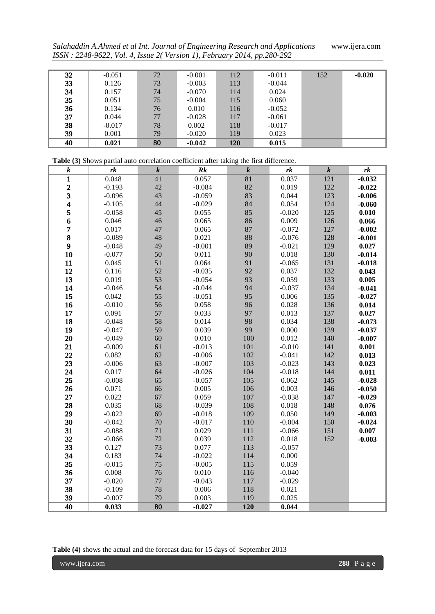*Salahaddin A.Ahmed et al Int. Journal of Engineering Research and Applications* www.ijera.com *ISSN : 2248-9622, Vol. 4, Issue 2( Version 1), February 2014, pp.280-292*

| 32 | $-0.051$ | 72 | $-0.001$ | 112 | $-0.011$ | 152 | $-0.020$ |
|----|----------|----|----------|-----|----------|-----|----------|
| 33 | 0.126    | 73 | $-0.003$ | 113 | $-0.044$ |     |          |
| 34 | 0.157    | 74 | $-0.070$ | 114 | 0.024    |     |          |
| 35 | 0.051    | 75 | $-0.004$ | 115 | 0.060    |     |          |
| 36 | 0.134    | 76 | 0.010    | 116 | $-0.052$ |     |          |
| 37 | 0.044    | 77 | $-0.028$ | 117 | $-0.061$ |     |          |
| 38 | $-0.017$ | 78 | 0.002    | 118 | $-0.017$ |     |          |
| 39 | 0.001    | 79 | $-0.020$ | 119 | 0.023    |     |          |
| 40 | 0.021    | 80 | $-0.042$ | 120 | 0.015    |     |          |

| Table (3) Shows partial auto correlation coefficient after taking the first difference. |          |           |           |                  |          |                |          |  |  |  |
|-----------------------------------------------------------------------------------------|----------|-----------|-----------|------------------|----------|----------------|----------|--|--|--|
| $\pmb{k}$                                                                               | rk       | $\pmb{k}$ | Rk        | $\boldsymbol{k}$ | rk       | $\overline{k}$ | rk       |  |  |  |
| $\mathbf{1}$                                                                            | 0.048    | 41        | 0.057     | $\overline{81}$  | 0.037    | 121            | $-0.032$ |  |  |  |
|                                                                                         | $-0.193$ | 42        | $-0.084$  | 82               | 0.019    | 122            | $-0.022$ |  |  |  |
| $\frac{2}{3}$                                                                           | $-0.096$ | 43        | $-0.059$  | 83               | 0.044    | 123            | $-0.006$ |  |  |  |
| $\overline{\mathbf{4}}$                                                                 | $-0.105$ | 44        | $-0.029$  | 84               | 0.054    | 124            | $-0.060$ |  |  |  |
| 5                                                                                       | $-0.058$ | 45        | 0.055     | 85               | $-0.020$ | 125            | 0.010    |  |  |  |
| 6                                                                                       | 0.046    | 46        | 0.065     | 86               | 0.009    | 126            | 0.066    |  |  |  |
| $\overline{\mathcal{I}}$                                                                | 0.017    | 47        | 0.065     | 87               | $-0.072$ | 127            | $-0.002$ |  |  |  |
| 8                                                                                       | $-0.089$ | 48        | 0.021     | 88               | $-0.076$ | 128            | $-0.001$ |  |  |  |
| 9                                                                                       | $-0.048$ | 49        | $-0.001$  | 89               | $-0.021$ | 129            | 0.027    |  |  |  |
| 10                                                                                      | $-0.077$ | 50        | 0.011     | 90               | 0.018    | 130            | $-0.014$ |  |  |  |
| 11                                                                                      | 0.045    | 51        | 0.064     | 91               | $-0.065$ | 131            | $-0.018$ |  |  |  |
| 12                                                                                      | 0.116    | 52        | $-0.035$  | 92               | 0.037    | 132            | 0.043    |  |  |  |
| 13                                                                                      | 0.019    | 53        | $-0.054$  | 93               | 0.059    | 133            | 0.005    |  |  |  |
| 14                                                                                      | $-0.046$ | 54        | $-0.044$  | 94               | $-0.037$ | 134            | $-0.041$ |  |  |  |
| 15                                                                                      | 0.042    | 55        | $-0.051$  | 95               | 0.006    | 135            | $-0.027$ |  |  |  |
| 16                                                                                      | $-0.010$ | 56        | 0.058     | 96               | 0.028    | 136            | 0.014    |  |  |  |
| 17                                                                                      | 0.091    | 57        | 0.033     | 97               | 0.013    | 137            | 0.027    |  |  |  |
| 18                                                                                      | $-0.048$ | 58        | 0.014     | 98               | 0.034    | 138            | $-0.073$ |  |  |  |
| 19                                                                                      | $-0.047$ | 59        | 0.039     | 99               | 0.000    | 139            | $-0.037$ |  |  |  |
| 20                                                                                      | $-0.049$ | 60        | 0.010     | 100              | 0.012    | 140            | $-0.007$ |  |  |  |
| 21                                                                                      | $-0.009$ | 61        | $-0.013$  | 101              | $-0.010$ | 141            | 0.001    |  |  |  |
| 22                                                                                      | 0.082    | 62        | $-0.006$  | 102              | $-0.041$ | 142            | 0.013    |  |  |  |
| 23                                                                                      | $-0.006$ | 63        | $-0.007$  | 103              | $-0.023$ | 143            | 0.023    |  |  |  |
| 24                                                                                      | 0.017    | 64        | $-0.026$  | 104              | $-0.018$ | 144            | 0.011    |  |  |  |
| 25                                                                                      | $-0.008$ | 65        | $-0.057$  | 105              | 0.062    | 145            | $-0.028$ |  |  |  |
| 26                                                                                      | 0.071    | 66        | 0.005     | 106              | 0.003    | 146            | $-0.050$ |  |  |  |
| 27                                                                                      | 0.022    | 67        | 0.059     | 107              | $-0.038$ | 147            | $-0.029$ |  |  |  |
| 28                                                                                      | 0.035    | 68        | $-0.039$  | 108              | 0.018    | 148            | 0.076    |  |  |  |
| 29                                                                                      | $-0.022$ | 69        | $-0.018$  | 109              | 0.050    | 149            | $-0.003$ |  |  |  |
| 30                                                                                      | $-0.042$ | $70\,$    | $-0.017$  | 110              | $-0.004$ | 150            | $-0.024$ |  |  |  |
| 31                                                                                      | $-0.088$ | 71        | 0.029     | 111              | $-0.066$ | 151            | 0.007    |  |  |  |
| 32                                                                                      | $-0.066$ | 72        | 0.039     | 112              | 0.018    | 152            | $-0.003$ |  |  |  |
| 33                                                                                      | 0.127    | 73        | 0.077     | 113              | $-0.057$ |                |          |  |  |  |
| 34                                                                                      | 0.183    | 74        | $-0.022$  | 114              | 0.000    |                |          |  |  |  |
| 35                                                                                      | $-0.015$ | 75        | $-0.005$  | 115              | 0.059    |                |          |  |  |  |
| 36                                                                                      | 0.008    | 76        | $0.010\,$ | 116              | $-0.040$ |                |          |  |  |  |
| 37                                                                                      | $-0.020$ | 77        | $-0.043$  | 117              | $-0.029$ |                |          |  |  |  |
| 38                                                                                      | $-0.109$ | 78        | 0.006     | 118              | 0.021    |                |          |  |  |  |
| 39                                                                                      | $-0.007$ | 79        | 0.003     | 119              | 0.025    |                |          |  |  |  |
| 40                                                                                      | 0.033    | 80        | $-0.027$  | 120              | 0.044    |                |          |  |  |  |

**Table (4)** shows the actual and the forecast data for 15 days of September 2013

www.ijera.com **288** | P a g e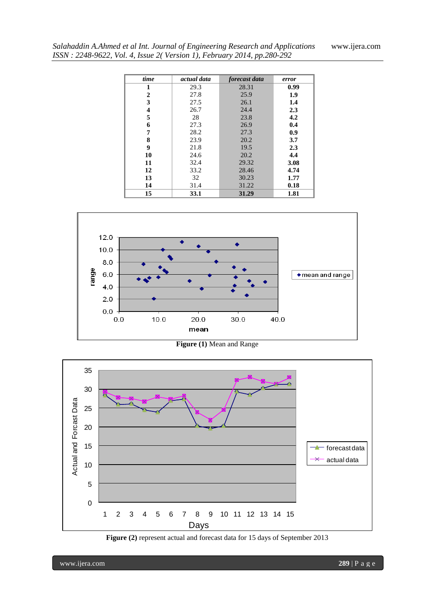| time | actual data | forecast data | error |
|------|-------------|---------------|-------|
| 1    | 29.3        | 28.31         | 0.99  |
| 2    | 27.8        | 25.9          | 1.9   |
| 3    | 27.5        | 26.1          | 1.4   |
| 4    | 26.7        | 24.4          | 2.3   |
| 5    | 28          | 23.8          | 4.2   |
| 6    | 27.3        | 26.9          | 0.4   |
| 7    | 28.2        | 27.3          | 0.9   |
| 8    | 23.9        | 20.2          | 3.7   |
| 9    | 21.8        | 19.5          | 2.3   |
| 10   | 24.6        | 20.2          | 4.4   |
| 11   | 32.4        | 29.32         | 3.08  |
| 12   | 33.2        | 28.46         | 4.74  |
| 13   | 32          | 30.23         | 1.77  |
| 14   | 31.4        | 31.22         | 0.18  |
| 15   | 33.1        | 31.29         | 1.81  |



**Figure (1)** Mean and Range



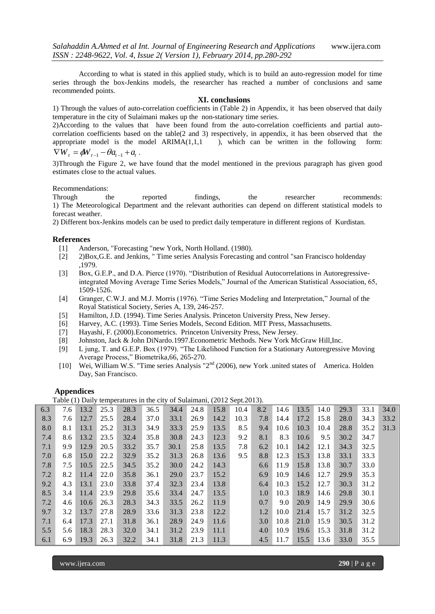According to what is stated in this applied study, which is to build an auto-regression model for time series through the box-Jenkins models, the researcher has reached a number of conclusions and same recommended points.

#### **XI. conclusions**

1) Through the values of auto-correlation coefficients in (Table 2) in Appendix, it has been observed that daily temperature in the city of Sulaimani makes up the non-stationary time series.

2)According to the values that have been found from the auto-correlation coefficients and partial autocorrelation coefficients based on the table(2 and 3) respectively, in appendix, it has been observed that the appropriate model is the model  $ARIMA(1,1,1)$ , which can be written in the following form:  $\nabla W_t = \phi W_{t-1} - \theta a_{t-1} + a_t$ .

3)Through the Figure 2, we have found that the model mentioned in the previous paragraph has given good estimates close to the actual values.

Recommendations:

Through the reported findings, the researcher recommends: 1) The Meteorological Department and the relevant authorities can depend on different statistical models to forecast weather.

2) Different box-Jenkins models can be used to predict daily temperature in different regions of Kurdistan.

# **References**<br>[1] And

- Anderson, "Forecasting "new York, North Holland. (1980).
- [2] 2)Box,G.E. and Jenkins, " Time series Analysis Forecasting and control "san Francisco holdenday ,1979.
- [3] Box, G.E.P., and D.A. Pierce (1970). "Distribution of Residual Autocorrelations in Autoregressiveintegrated Moving Average Time Series Models," Journal of the American Statistical Association, 65, 1509-1526.
- [4] Granger, C.W.J. and M.J. Morris (1976). "Time Series Modeling and Interpretation," Journal of the Royal Statistical Society, Series A, 139, 246-257.
- [5] Hamilton, J.D. (1994). Time Series Analysis. Princeton University Press, New Jersey.
- [6] Harvey, A.C. (1993). Time Series Models, Second Edition. MIT Press, Massachusetts.
- [7] Hayashi, F. (2000).Econometrics. Princeton University Press, New Jersey.
- [8] Johnston, Jack & John DiNardo.1997.Econometric Methods. New York McGraw Hill,Inc.
- [9] L jung, T. and G.E.P. Box (1979). "The Likelihood Function for a Stationary Autoregressive Moving Average Process," Biometrika, 66, 265-270.
- [10] Wei, William W.S. "Time series Analysis "2nd (2006), new York .united states of America. Holden Day, San Francisco.

# **Appendices**

Table (1) Daily temperatures in the city of Sulaimani, (2012 Sept.2013).

|     | $\sqrt{2}$ |      |      |      |      |      |      | $\sim$ |      |     |      |      |      |      |      |      |
|-----|------------|------|------|------|------|------|------|--------|------|-----|------|------|------|------|------|------|
| 6.3 | 7.6        | 13.2 | 25.3 | 28.3 | 36.5 | 34.4 | 24.8 | 15.8   | 10.4 | 8.2 | 14.6 | 13.5 | 14.0 | 29.3 | 33.1 | 34.0 |
| 8.3 | 7.6        | 12.7 | 25.5 | 28.4 | 37.0 | 33.1 | 26.9 | 14.2   | 10.3 | 7.8 | 14.4 | 17.2 | 15.8 | 28.0 | 34.3 | 33.2 |
| 8.0 | 8.1        | 13.1 | 25.2 | 31.3 | 34.9 | 33.3 | 25.9 | 13.5   | 8.5  | 9.4 | 10.6 | 10.3 | 10.4 | 28.8 | 35.2 | 31.3 |
| 7.4 | 8.6        | 13.2 | 23.5 | 32.4 | 35.8 | 30.8 | 24.3 | 12.3   | 9.2  | 8.1 | 8.3  | 10.6 | 9.5  | 30.2 | 34.7 |      |
| 7.1 | 9.9        | 12.9 | 20.5 | 33.2 | 35.7 | 30.1 | 25.8 | 13.5   | 7.8  | 6.2 | 10.1 | 14.2 | 12.1 | 34.3 | 32.5 |      |
| 7.0 | 6.8        | 15.0 | 22.2 | 32.9 | 35.2 | 31.3 | 26.8 | 13.6   | 9.5  | 8.8 | 12.3 | 15.3 | 13.8 | 33.1 | 33.3 |      |
| 7.8 | 7.5        | 10.5 | 22.5 | 34.5 | 35.2 | 30.0 | 24.2 | 14.3   |      | 6.6 | 11.9 | 15.8 | 13.8 | 30.7 | 33.0 |      |
| 7.2 | 8.2        | 11.4 | 22.0 | 35.8 | 36.1 | 29.0 | 23.7 | 15.2   |      | 6.9 | 10.9 | 14.6 | 12.7 | 29.9 | 35.3 |      |
| 9.2 | 4.3        | 13.1 | 23.0 | 33.8 | 37.4 | 32.3 | 23.4 | 13.8   |      | 6.4 | 10.3 | 15.2 | 12.7 | 30.3 | 31.2 |      |
| 8.5 | 3.4        | 11.4 | 23.9 | 29.8 | 35.6 | 33.4 | 24.7 | 13.5   |      | 1.0 | 10.3 | 18.9 | 14.6 | 29.8 | 30.1 |      |
| 7.2 | 4.6        | 10.6 | 26.3 | 28.3 | 34.3 | 33.5 | 26.2 | 11.9   |      | 0.7 | 9.0  | 20.9 | 14.9 | 29.9 | 30.6 |      |
| 9.7 | 3.2        | 13.7 | 27.8 | 28.9 | 33.6 | 31.3 | 23.8 | 12.2   |      | 1.2 | 10.0 | 21.4 | 15.7 | 31.2 | 32.5 |      |
| 7.1 | 6.4        | 17.3 | 27.1 | 31.8 | 36.1 | 28.9 | 24.9 | 11.6   |      | 3.0 | 10.8 | 21.0 | 15.9 | 30.5 | 31.2 |      |
| 5.5 | 5.6        | 18.3 | 28.3 | 32.0 | 34.1 | 31.2 | 23.9 | 11.1   |      | 4.0 | 10.9 | 19.6 | 15.3 | 31.8 | 31.2 |      |
| 6.1 | 6.9        | 19.3 | 26.3 | 32.2 | 34.1 | 31.8 | 21.3 | 11.3   |      | 4.5 | 11.7 | 15.5 | 13.6 | 33.0 | 35.5 |      |

www.ijera.com **290** | P a g e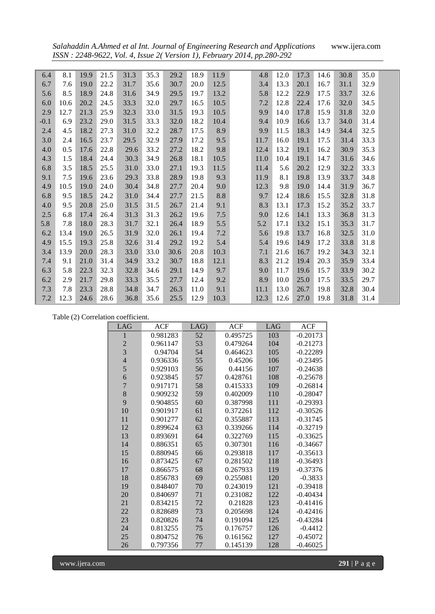*Salahaddin A.Ahmed et al Int. Journal of Engineering Research and Applications* www.ijera.com *ISSN : 2248-9622, Vol. 4, Issue 2( Version 1), February 2014, pp.280-292*

| 6.4    | 8.1  | 19.9 | 21.5 | 31.3 | 35.3 | 29.2 | 18.9 | 11.9 | 4.8  | 12.0 | 17.3 | 14.6 | 30.8 | 35.0 |  |
|--------|------|------|------|------|------|------|------|------|------|------|------|------|------|------|--|
| 6.7    | 7.6  | 19.0 | 22.2 | 31.7 | 35.6 | 30.7 | 20.0 | 12.5 | 3.4  | 13.3 | 20.1 | 16.7 | 31.1 | 32.9 |  |
| 5.6    | 8.5  | 18.9 | 24.8 | 31.6 | 34.9 | 29.5 | 19.7 | 13.2 | 5.8  | 12.2 | 22.9 | 17.5 | 33.7 | 32.6 |  |
| 6.0    | 10.6 | 20.2 | 24.5 | 33.3 | 32.0 | 29.7 | 16.5 | 10.5 | 7.2  | 12.8 | 22.4 | 17.6 | 32.0 | 34.5 |  |
| 2.9    | 12.7 | 21.3 | 25.9 | 32.3 | 33.0 | 31.5 | 19.3 | 10.5 | 9.9  | 14.0 | 17.8 | 15.9 | 31.8 | 32.0 |  |
| $-0.1$ | 6.9  | 23.2 | 29.0 | 31.5 | 33.3 | 32.0 | 18.2 | 10.4 | 9.4  | 10.9 | 16.6 | 13.7 | 34.0 | 31.4 |  |
| 2.4    | 4.5  | 18.2 | 27.3 | 31.0 | 32.2 | 28.7 | 17.5 | 8.9  | 9.9  | 11.5 | 18.3 | 14.9 | 34.4 | 32.5 |  |
| 3.0    | 2.4  | 16.5 | 23.7 | 29.5 | 32.9 | 27.9 | 17.2 | 9.5  | 11.7 | 16.0 | 19.1 | 17.5 | 31.4 | 33.3 |  |
| 4.0    | 0.5  | 17.6 | 22.8 | 29.6 | 33.2 | 27.2 | 18.2 | 9.8  | 12.4 | 13.2 | 19.1 | 16.2 | 30.9 | 35.3 |  |
| 4.3    | 1.5  | 18.4 | 24.4 | 30.3 | 34.9 | 26.8 | 18.1 | 10.5 | 11.0 | 10.4 | 19.1 | 14.7 | 31.6 | 34.6 |  |
| 6.8    | 3.5  | 18.5 | 25.5 | 31.0 | 33.0 | 27.1 | 19.3 | 11.5 | 11.4 | 5.6  | 20.2 | 12.9 | 32.2 | 33.3 |  |
| 9.1    | 7.5  | 19.6 | 23.6 | 29.3 | 33.8 | 28.9 | 19.8 | 9.3  | 11.9 | 8.1  | 19.8 | 13.9 | 33.7 | 34.8 |  |
| 4.9    | 10.5 | 19.0 | 24.0 | 30.4 | 34.8 | 27.7 | 20.4 | 9.0  | 12.3 | 9.8  | 19.0 | 14.4 | 31.9 | 36.7 |  |
| 6.8    | 9.5  | 18.5 | 24.2 | 31.0 | 34.4 | 27.7 | 21.5 | 8.8  | 9.7  | 12.4 | 18.6 | 15.5 | 32.8 | 31.8 |  |
| 4.0    | 9.5  | 20.8 | 25.0 | 31.5 | 31.5 | 26.7 | 21.4 | 9.1  | 8.3  | 13.1 | 17.3 | 15.2 | 35.2 | 33.7 |  |
| 2.5    | 6.8  | 17.4 | 26.4 | 31.3 | 31.3 | 26.2 | 19.6 | 7.5  | 9.0  | 12.6 | 14.1 | 13.3 | 36.8 | 31.3 |  |
| 5.8    | 7.8  | 18.0 | 28.3 | 31.7 | 32.1 | 26.4 | 18.9 | 5.5  | 5.2  | 17.1 | 13.2 | 15.1 | 35.3 | 31.7 |  |
| 6.2    | 13.4 | 19.0 | 26.5 | 31.9 | 32.0 | 26.1 | 19.4 | 7.2  | 5.6  | 19.8 | 13.7 | 16.8 | 32.5 | 31.0 |  |
| 4.9    | 15.5 | 19.3 | 25.8 | 32.6 | 31.4 | 29.2 | 19.2 | 5.4  | 5.4  | 19.6 | 14.9 | 17.2 | 33.8 | 31.8 |  |
| 3.4    | 13.9 | 20.0 | 28.3 | 33.0 | 33.0 | 30.6 | 20.8 | 10.3 | 7.1  | 21.6 | 16.7 | 19.2 | 34.3 | 32.1 |  |
| 7.4    | 9.1  | 21.0 | 31.4 | 34.9 | 33.2 | 30.7 | 18.8 | 12.1 | 8.3  | 21.2 | 19.4 | 20.3 | 35.9 | 33.4 |  |
| 6.3    | 5.8  | 22.3 | 32.3 | 32.8 | 34.6 | 29.1 | 14.9 | 9.7  | 9.0  | 11.7 | 19.6 | 15.7 | 33.9 | 30.2 |  |
| 6.2    | 2.9  | 21.7 | 29.8 | 33.3 | 35.5 | 27.7 | 12.4 | 9.2  | 8.9  | 10.0 | 25.0 | 17.5 | 33.5 | 29.7 |  |
| 7.3    | 7.8  | 23.3 | 28.8 | 34.8 | 34.7 | 26.3 | 11.0 | 9.1  | 11.1 | 13.0 | 26.7 | 19.8 | 32.8 | 30.4 |  |
| 7.2    | 12.3 | 24.6 | 28.6 | 36.8 | 35.6 | 25.5 | 12.9 | 10.3 | 12.3 | 12.6 | 27.0 | 19.8 | 31.8 | 31.4 |  |

|  | Table (2) Correlation coefficient. |  |
|--|------------------------------------|--|
|--|------------------------------------|--|

| LAG            | <b>ACF</b> | LAG) | <b>ACF</b> | LAG | <b>ACF</b> |
|----------------|------------|------|------------|-----|------------|
| 1              | 0.981283   | 52   | 0.495725   | 103 | $-0.20173$ |
| $\overline{c}$ | 0.961147   | 53   | 0.479264   | 104 | $-0.21273$ |
| 3              | 0.94704    | 54   | 0.464623   | 105 | $-0.22289$ |
| $\overline{4}$ | 0.936336   | 55   | 0.45206    | 106 | $-0.23495$ |
| 5              | 0.929103   | 56   | 0.44156    | 107 | $-0.24638$ |
| 6              | 0.923845   | 57   | 0.428761   | 108 | $-0.25678$ |
| $\overline{7}$ | 0.917171   | 58   | 0.415333   | 109 | $-0.26814$ |
| 8              | 0.909232   | 59   | 0.402009   | 110 | $-0.28047$ |
| 9              | 0.904855   | 60   | 0.387998   | 111 | $-0.29393$ |
| 10             | 0.901917   | 61   | 0.372261   | 112 | $-0.30526$ |
| 11             | 0.901277   | 62   | 0.355887   | 113 | $-0.31745$ |
| 12             | 0.899624   | 63   | 0.339266   | 114 | $-0.32719$ |
| 13             | 0.893691   | 64   | 0.322769   | 115 | $-0.33625$ |
| 14             | 0.886351   | 65   | 0.307301   | 116 | $-0.34667$ |
| 15             | 0.880945   | 66   | 0.293818   | 117 | $-0.35613$ |
| 16             | 0.873425   | 67   | 0.281502   | 118 | $-0.36493$ |
| 17             | 0.866575   | 68   | 0.267933   | 119 | $-0.37376$ |
| 18             | 0.856783   | 69   | 0.255081   | 120 | $-0.3833$  |
| 19             | 0.848407   | 70   | 0.243019   | 121 | $-0.39418$ |
| 20             | 0.840697   | 71   | 0.231082   | 122 | $-0.40434$ |
| 21             | 0.834215   | 72   | 0.21828    | 123 | $-0.41416$ |
| 22             | 0.828689   | 73   | 0.205698   | 124 | $-0.42416$ |
| 23             | 0.820826   | 74   | 0.191094   | 125 | $-0.43284$ |
| 24             | 0.813255   | 75   | 0.176757   | 126 | $-0.4412$  |
| 25             | 0.804752   | 76   | 0.161562   | 127 | $-0.45072$ |
| 26             | 0.797356   | 77   | 0.145139   | 128 | $-0.46025$ |